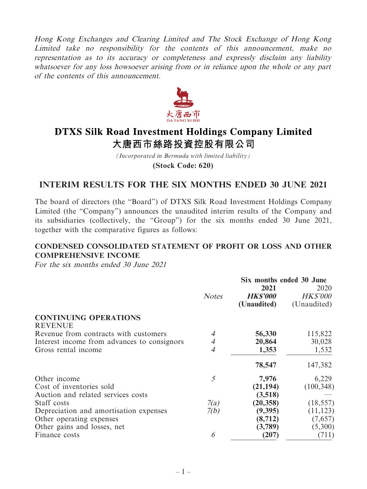Hong Kong Exchanges and Clearing Limited and The Stock Exchange of Hong Kong Limited take no responsibility for the contents of this announcement, make no representation as to its accuracy or completeness and expressly disclaim any liability whatsoever for any loss howsoever arising from or in reliance upon the whole or any part of the contents of this announcement.



# **DTXS Silk Road Investment Holdings Company Limited** 大唐西市絲路投資控股有限公司

*(Incorporated in Bermuda with limited liability)* **(Stock Code: 620)**

# **INTERIM RESULTS FOR THE SIX MONTHS ENDED 30 JUNE 2021**

The board of directors (the "Board") of DTXS Silk Road Investment Holdings Company Limited (the "Company") announces the unaudited interim results of the Company and its subsidiaries (collectively, the "Group") for the six months ended 30 June 2021, together with the comparative figures as follows:

# **CONDENSED CONSOLIDATED STATEMENT OF PROFIT OR LOSS AND OTHER COMPREHENSIVE INCOME**

For the six months ended 30 June 2021

|                                             |                | Six months ended 30 June |                 |
|---------------------------------------------|----------------|--------------------------|-----------------|
|                                             |                | 2021                     | 2020            |
|                                             | <b>Notes</b>   | <b>HK\$'000</b>          | <b>HK\$'000</b> |
|                                             |                | (Unaudited)              | (Unaudited)     |
| <b>CONTINUING OPERATIONS</b>                |                |                          |                 |
| <b>REVENUE</b>                              |                |                          |                 |
| Revenue from contracts with customers       | 4              | 56,330                   | 115,822         |
| Interest income from advances to consignors | 4              | 20,864                   | 30,028          |
| Gross rental income                         | $\overline{4}$ | 1,353                    | 1,532           |
|                                             |                | 78,547                   | 147,382         |
| Other income                                | 5              | 7,976                    | 6,229           |
| Cost of inventories sold                    |                | (21, 194)                | (100, 348)      |
| Auction and related services costs          |                | (3,518)                  |                 |
| Staff costs                                 | 7(a)           | (20, 358)                | (18, 557)       |
| Depreciation and amortisation expenses      | 7(b)           | (9,395)                  | (11, 123)       |
| Other operating expenses                    |                | (8, 712)                 | (7,657)         |
| Other gains and losses, net                 |                | (3,789)                  | (5,300)         |
| Finance costs                               | 6              | (207)                    | (711)           |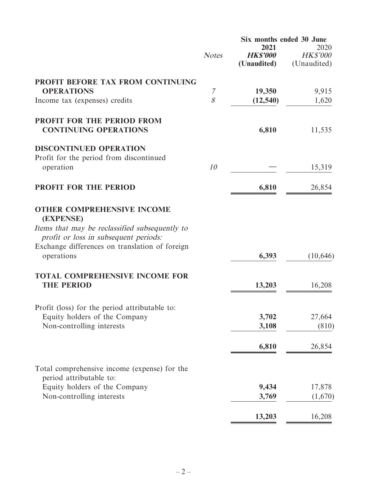|                                                                                         |              | Six months ended 30 June |                                |
|-----------------------------------------------------------------------------------------|--------------|--------------------------|--------------------------------|
|                                                                                         |              | 2021<br><b>HK\$'000</b>  | 2020                           |
|                                                                                         | <b>Notes</b> | (Unaudited)              | <b>HK\$'000</b><br>(Unaudited) |
| PROFIT BEFORE TAX FROM CONTINUING                                                       |              |                          |                                |
| <b>OPERATIONS</b>                                                                       | 7            | 19,350                   | 9,915                          |
| Income tax (expenses) credits                                                           | 8            | (12, 540)                | 1,620                          |
| <b>PROFIT FOR THE PERIOD FROM</b>                                                       |              |                          |                                |
| <b>CONTINUING OPERATIONS</b>                                                            |              | 6,810                    | 11,535                         |
| <b>DISCONTINUED OPERATION</b>                                                           |              |                          |                                |
| Profit for the period from discontinued                                                 |              |                          |                                |
| operation                                                                               | 10           |                          | 15,319                         |
| <b>PROFIT FOR THE PERIOD</b>                                                            |              | 6,810                    | 26,854                         |
| <b>OTHER COMPREHENSIVE INCOME</b><br>(EXPENSE)                                          |              |                          |                                |
| Items that may be reclassified subsequently to<br>profit or loss in subsequent periods: |              |                          |                                |
| Exchange differences on translation of foreign<br>operations                            |              | 6,393                    | (10, 646)                      |
| <b>TOTAL COMPREHENSIVE INCOME FOR</b>                                                   |              |                          |                                |
| <b>THE PERIOD</b>                                                                       |              | 13,203                   | 16,208                         |
| Profit (loss) for the period attributable to:                                           |              |                          |                                |
| Equity holders of the Company                                                           |              | 3,702                    | 27,664                         |
| Non-controlling interests                                                               |              | 3,108                    | (810)                          |
|                                                                                         |              | 6,810                    | 26,854                         |
| Total comprehensive income (expense) for the                                            |              |                          |                                |
| period attributable to:                                                                 |              |                          |                                |
| Equity holders of the Company                                                           |              | 9,434                    | 17,878                         |
| Non-controlling interests                                                               |              | 3,769                    | (1,670)                        |
|                                                                                         |              | 13,203                   | 16,208                         |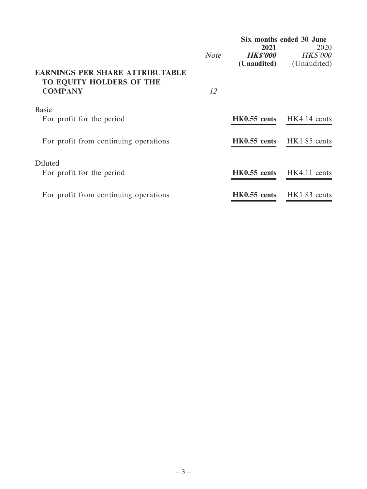|                                                                                      |             | Six months ended 30 June       |                                  |
|--------------------------------------------------------------------------------------|-------------|--------------------------------|----------------------------------|
|                                                                                      | <b>Note</b> | 2021<br><i><b>HK\$'000</b></i> | 2020<br><b>HK\$'000</b>          |
| <b>EARNINGS PER SHARE ATTRIBUTABLE</b><br>TO EQUITY HOLDERS OF THE<br><b>COMPANY</b> | 12          | (Unaudited)                    | (Unaudited)                      |
| <b>Basic</b><br>For profit for the period                                            |             |                                | <b>HK0.55 cents</b> HK4.14 cents |
| For profit from continuing operations                                                |             |                                | HK0.55 cents HK1.85 cents        |
| Diluted<br>For profit for the period                                                 |             |                                | $HK0.55$ cents $HK4.11$ cents    |
| For profit from continuing operations                                                |             | $HK0.55$ cents                 | HK1.83 cents                     |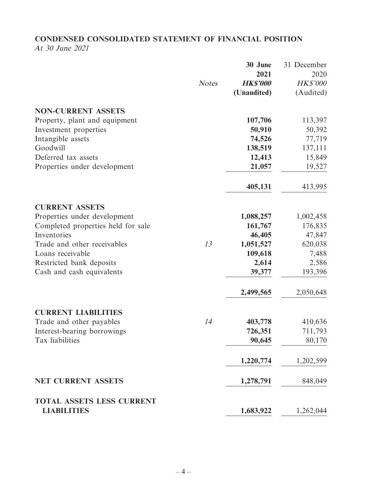# **CONDENSED CONSOLIDATED STATEMENT OF FINANCIAL POSITION**

At 30 June 2021

|                                                 |              | 30 June         | 31 December     |
|-------------------------------------------------|--------------|-----------------|-----------------|
|                                                 |              | 2021            | 2020            |
|                                                 | <b>Notes</b> | <b>HK\$'000</b> | <b>HK\$'000</b> |
|                                                 |              | (Unaudited)     | (Audited)       |
| <b>NON-CURRENT ASSETS</b>                       |              |                 |                 |
| Property, plant and equipment                   |              | 107,706         | 113,397         |
| Investment properties                           |              | 50,910          | 50,392          |
| Intangible assets                               |              | 74,526          | 77,719          |
| Goodwill                                        |              | 138,519         | 137,111         |
| Deferred tax assets                             |              | 12,413          | 15,849          |
| Properties under development                    |              | 21,057          | 19,527          |
|                                                 |              | 405,131         | 413,995         |
| <b>CURRENT ASSETS</b>                           |              |                 |                 |
| Properties under development                    |              | 1,088,257       | 1,002,458       |
| Completed properties held for sale              |              | 161,767         | 176,835         |
| Inventories                                     |              | 46,405          | 47,847          |
| Trade and other receivables                     | 13           | 1,051,527       | 620,038         |
| Loans receivable                                |              | 109,618         | 7,488           |
| Restricted bank deposits                        |              | 2,614           | 2,586           |
| Cash and cash equivalents                       |              | 39,377          | 193,396         |
|                                                 |              | 2,499,565       | 2,050,648       |
| <b>CURRENT LIABILITIES</b>                      |              |                 |                 |
| Trade and other payables                        | 14           | 403,778         | 410,636         |
| Interest-bearing borrowings                     |              | 726,351         | 711,793         |
| Tax liabilities                                 |              | 90,645          | 80,170          |
|                                                 |              | 1,220,774       | 1,202,599       |
| <b>NET CURRENT ASSETS</b>                       |              | 1,278,791       | 848,049         |
| TOTAL ASSETS LESS CURRENT<br><b>LIABILITIES</b> |              | 1,683,922       | 1,262,044       |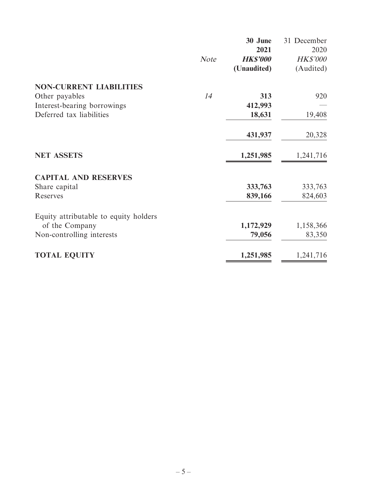|                                       |             | 30 June         | 31 December     |
|---------------------------------------|-------------|-----------------|-----------------|
|                                       |             | 2021            | 2020            |
|                                       | <b>Note</b> | <b>HK\$'000</b> | <b>HK\$'000</b> |
|                                       |             | (Unaudited)     | (Audited)       |
| <b>NON-CURRENT LIABILITIES</b>        |             |                 |                 |
| Other payables                        | 14          | 313             | 920             |
| Interest-bearing borrowings           |             | 412,993         |                 |
| Deferred tax liabilities              |             | 18,631          | 19,408          |
|                                       |             | 431,937         | 20,328          |
| <b>NET ASSETS</b>                     |             | 1,251,985       | 1,241,716       |
| <b>CAPITAL AND RESERVES</b>           |             |                 |                 |
| Share capital                         |             | 333,763         | 333,763         |
| Reserves                              |             | 839,166         | 824,603         |
| Equity attributable to equity holders |             |                 |                 |
| of the Company                        |             | 1,172,929       | 1,158,366       |
| Non-controlling interests             |             | 79,056          | 83,350          |
| <b>TOTAL EQUITY</b>                   |             | 1,251,985       | 1,241,716       |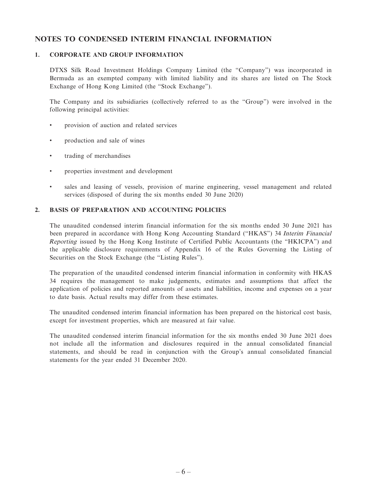#### **NOTES TO CONDENSED INTERIM FINANCIAL INFORMATION**

#### **1. CORPORATE AND GROUP INFORMATION**

DTXS Silk Road Investment Holdings Company Limited (the "Company") was incorporated in Bermuda as an exempted company with limited liability and its shares are listed on The Stock Exchange of Hong Kong Limited (the "Stock Exchange").

The Company and its subsidiaries (collectively referred to as the "Group") were involved in the following principal activities:

- provision of auction and related services
- production and sale of wines
- trading of merchandises
- properties investment and development
- sales and leasing of vessels, provision of marine engineering, vessel management and related services (disposed of during the six months ended 30 June 2020)

#### **2. BASIS OF PREPARATION AND ACCOUNTING POLICIES**

The unaudited condensed interim financial information for the six months ended 30 June 2021 has been prepared in accordance with Hong Kong Accounting Standard ("HKAS") 34 Interim Financial Reporting issued by the Hong Kong Institute of Certified Public Accountants (the "HKICPA") and the applicable disclosure requirements of Appendix 16 of the Rules Governing the Listing of Securities on the Stock Exchange (the "Listing Rules").

The preparation of the unaudited condensed interim financial information in conformity with HKAS 34 requires the management to make judgements, estimates and assumptions that affect the application of policies and reported amounts of assets and liabilities, income and expenses on a year to date basis. Actual results may differ from these estimates.

The unaudited condensed interim financial information has been prepared on the historical cost basis, except for investment properties, which are measured at fair value.

The unaudited condensed interim financial information for the six months ended 30 June 2021 does not include all the information and disclosures required in the annual consolidated financial statements, and should be read in conjunction with the Group's annual consolidated financial statements for the year ended 31 December 2020.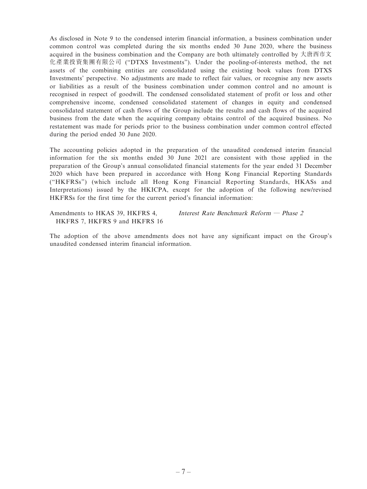As disclosed in Note 9 to the condensed interim financial information, a business combination under common control was completed during the six months ended 30 June 2020, where the business acquired in the business combination and the Company are both ultimately controlled by 大唐西市文 化產業投資集團有限公司 ("DTXS Investments"). Under the pooling-of-interests method, the net assets of the combining entities are consolidated using the existing book values from DTXS Investments' perspective. No adjustments are made to reflect fair values, or recognise any new assets or liabilities as a result of the business combination under common control and no amount is recognised in respect of goodwill. The condensed consolidated statement of profit or loss and other comprehensive income, condensed consolidated statement of changes in equity and condensed consolidated statement of cash flows of the Group include the results and cash flows of the acquired business from the date when the acquiring company obtains control of the acquired business. No restatement was made for periods prior to the business combination under common control effected during the period ended 30 June 2020.

The accounting policies adopted in the preparation of the unaudited condensed interim financial information for the six months ended 30 June 2021 are consistent with those applied in the preparation of the Group's annual consolidated financial statements for the year ended 31 December 2020 which have been prepared in accordance with Hong Kong Financial Reporting Standards ("HKFRSs") (which include all Hong Kong Financial Reporting Standards, HKASs and Interpretations) issued by the HKICPA, except for the adoption of the following new/revised HKFRSs for the first time for the current period's financial information:

Amendments to HKAS 39, HKFRS 4, HKFRS 7, HKFRS 9 and HKFRS 16 Interest Rate Benchmark Reform — Phase 2

The adoption of the above amendments does not have any significant impact on the Group's unaudited condensed interim financial information.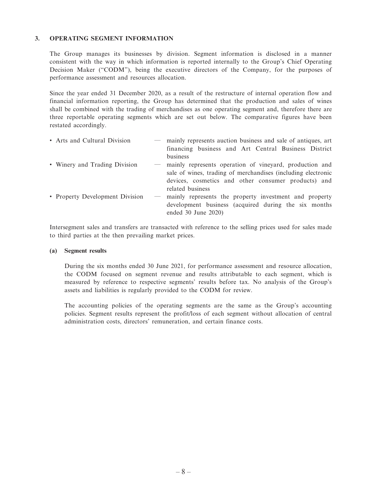#### **3. OPERATING SEGMENT INFORMATION**

The Group manages its businesses by division. Segment information is disclosed in a manner consistent with the way in which information is reported internally to the Group's Chief Operating Decision Maker ("CODM"), being the executive directors of the Company, for the purposes of performance assessment and resources allocation.

Since the year ended 31 December 2020, as a result of the restructure of internal operation flow and financial information reporting, the Group has determined that the production and sales of wines shall be combined with the trading of merchandises as one operating segment and, therefore there are three reportable operating segments which are set out below. The comparative figures have been restated accordingly.

| • Arts and Cultural Division    |                          | mainly represents auction business and sale of antiques, art<br>financing business and Art Central Business District<br>business                                               |
|---------------------------------|--------------------------|--------------------------------------------------------------------------------------------------------------------------------------------------------------------------------|
| • Winery and Trading Division   |                          | mainly represents operation of vineyard, production and<br>sale of wines, trading of merchandises (including electronic<br>devices, cosmetics and other consumer products) and |
| • Property Development Division | $\overline{\phantom{m}}$ | related business<br>mainly represents the property investment and property<br>development business (acquired during the six months<br>ended $30$ June $2020$ )                 |

Intersegment sales and transfers are transacted with reference to the selling prices used for sales made to third parties at the then prevailing market prices.

#### **(a) Segment results**

During the six months ended 30 June 2021, for performance assessment and resource allocation, the CODM focused on segment revenue and results attributable to each segment, which is measured by reference to respective segments' results before tax. No analysis of the Group's assets and liabilities is regularly provided to the CODM for review.

The accounting policies of the operating segments are the same as the Group's accounting policies. Segment results represent the profit/loss of each segment without allocation of central administration costs, directors' remuneration, and certain finance costs.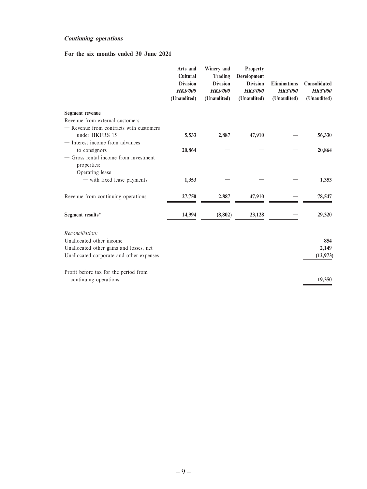#### **Continuing operations**

#### **For the six months ended 30 June 2021**

|                                                        | Arts and<br>Cultural<br><b>Division</b><br><b>HK\$'000</b><br>(Unaudited) | Winery and<br>Trading<br><b>Division</b><br><b>HK\$'000</b><br>(Unaudited) | <b>Property</b><br>Development<br><b>Division</b><br><b>HK\$'000</b><br>(Unaudited) | <b>Eliminations</b><br><b>HKS'000</b><br>(Unaudited) | <b>Consolidated</b><br><b>HK\$'000</b><br>(Unaudited) |
|--------------------------------------------------------|---------------------------------------------------------------------------|----------------------------------------------------------------------------|-------------------------------------------------------------------------------------|------------------------------------------------------|-------------------------------------------------------|
| Segment revenue                                        |                                                                           |                                                                            |                                                                                     |                                                      |                                                       |
| Revenue from external customers                        |                                                                           |                                                                            |                                                                                     |                                                      |                                                       |
| - Revenue from contracts with customers                |                                                                           |                                                                            |                                                                                     |                                                      |                                                       |
| under HKFRS 15                                         | 5,533                                                                     | 2,887                                                                      | 47,910                                                                              |                                                      | 56,330                                                |
| - Interest income from advances                        |                                                                           |                                                                            |                                                                                     |                                                      |                                                       |
| to consignors<br>- Gross rental income from investment | 20,864                                                                    |                                                                            |                                                                                     |                                                      | 20,864                                                |
| properties:                                            |                                                                           |                                                                            |                                                                                     |                                                      |                                                       |
| Operating lease                                        |                                                                           |                                                                            |                                                                                     |                                                      |                                                       |
| - with fixed lease payments                            | 1,353                                                                     |                                                                            |                                                                                     |                                                      | 1,353                                                 |
| Revenue from continuing operations                     | 27,750                                                                    | 2,887                                                                      | 47,910                                                                              |                                                      | 78,547                                                |
| Segment results*                                       | 14.994                                                                    | (8,802)                                                                    | 23,128                                                                              |                                                      | 29,320                                                |
| Reconciliation:                                        |                                                                           |                                                                            |                                                                                     |                                                      |                                                       |
| Unallocated other income                               |                                                                           |                                                                            |                                                                                     |                                                      | 854                                                   |
| Unallocated other gains and losses, net                |                                                                           |                                                                            |                                                                                     |                                                      | 2,149                                                 |
| Unallocated corporate and other expenses               |                                                                           |                                                                            |                                                                                     |                                                      | (12, 973)                                             |
| Profit before tax for the period from                  |                                                                           |                                                                            |                                                                                     |                                                      |                                                       |
| continuing operations                                  |                                                                           |                                                                            |                                                                                     |                                                      | 19,350                                                |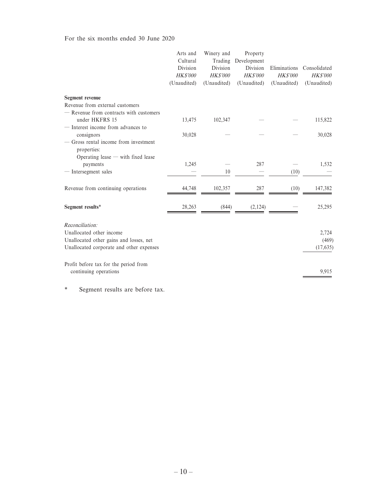For the six months ended 30 June 2020

|                                                      | Arts and<br>Cultural | Winery and<br>Trading | Property<br>Development |                 |                 |
|------------------------------------------------------|----------------------|-----------------------|-------------------------|-----------------|-----------------|
|                                                      | Division             | Division              | Division                | Eliminations    | Consolidated    |
|                                                      | <b>HK\$'000</b>      | <b>HK\$'000</b>       | <b>HK\$'000</b>         | <b>HK\$'000</b> | <b>HK\$'000</b> |
|                                                      | (Unaudited)          | (Unaudited)           | (Unaudited)             | (Unaudited)     | (Unaudited)     |
| <b>Segment</b> revenue                               |                      |                       |                         |                 |                 |
| Revenue from external customers                      |                      |                       |                         |                 |                 |
| - Revenue from contracts with customers              |                      |                       |                         |                 |                 |
| under HKFRS 15                                       | 13,475               | 102,347               |                         |                 | 115,822         |
| - Interest income from advances to                   |                      |                       |                         |                 |                 |
| consignors                                           | 30,028               |                       |                         |                 | 30,028          |
| - Gross rental income from investment<br>properties: |                      |                       |                         |                 |                 |
| Operating lease $-$ with fixed lease                 |                      |                       |                         |                 |                 |
| payments                                             | 1,245                |                       | 287                     |                 | 1,532           |
| - Intersegment sales                                 |                      | 10                    |                         | (10)            |                 |
| Revenue from continuing operations                   | 44,748               | 102,357               | 287                     | (10)            | 147,382         |
| Segment results*                                     | 28,263               | (844)                 | (2, 124)                |                 | 25,295          |
| Reconciliation:                                      |                      |                       |                         |                 |                 |
| Unallocated other income                             |                      |                       |                         |                 | 2,724           |
| Unallocated other gains and losses, net              |                      |                       |                         |                 | (469)           |
| Unallocated corporate and other expenses             |                      |                       |                         |                 | (17, 635)       |
| Profit before tax for the period from                |                      |                       |                         |                 |                 |
| continuing operations                                |                      |                       |                         |                 | 9,915           |

\* Segment results are before tax.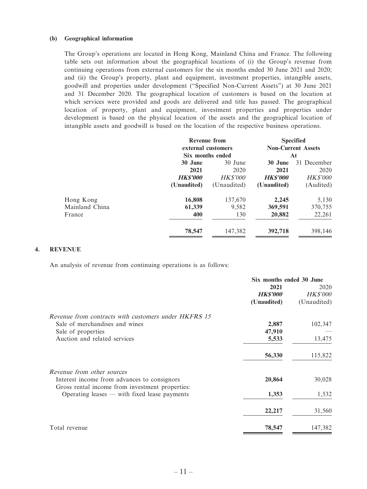#### **(b) Geographical information**

The Group's operations are located in Hong Kong, Mainland China and France. The following table sets out information about the geographical locations of (i) the Group's revenue from continuing operations from external customers for the six months ended 30 June 2021 and 2020; and (ii) the Group's property, plant and equipment, investment properties, intangible assets, goodwill and properties under development ("Specified Non-Current Assets") at 30 June 2021 and 31 December 2020. The geographical location of customers is based on the location at which services were provided and goods are delivered and title has passed. The geographical location of property, plant and equipment, investment properties and properties under development is based on the physical location of the assets and the geographical location of intangible assets and goodwill is based on the location of the respective business operations.

| <b>Revenue from</b> |                  |                    | <b>Specified</b><br><b>Non-Current Assets</b> |
|---------------------|------------------|--------------------|-----------------------------------------------|
|                     | Six months ended |                    | At                                            |
| 30 June             | 30 June          | 30 June            | 31 December                                   |
| 2021                | 2020             | 2021               | 2020                                          |
| <b>HKS'000</b>      | <i>HK\$'000</i>  | <b>HKS'000</b>     | <i>HK\$'000</i>                               |
| (Unaudited)         | (Unaudited)      | (Unaudited)        | (Audited)                                     |
| 16,808              | 137,670          | 2,245              | 5,130                                         |
| 61,339              | 9,582            | 369,591            | 370,755                                       |
| 400                 | 130              | 20,882             | 22,261                                        |
| 78,547              | 147,382          | 392,718            | 398,146                                       |
|                     |                  | external customers |                                               |

#### **4. REVENUE**

An analysis of revenue from continuing operations is as follows:

|                                                                                                   | Six months ended 30 June |                 |  |
|---------------------------------------------------------------------------------------------------|--------------------------|-----------------|--|
|                                                                                                   | 2021                     | 2020            |  |
|                                                                                                   | <b>HK\$'000</b>          | <i>HK\$'000</i> |  |
|                                                                                                   | (Unaudited)              | (Unaudited)     |  |
| Revenue from contracts with customers under HKFRS 15                                              |                          |                 |  |
| Sale of merchandises and wines                                                                    | 2,887                    | 102,347         |  |
| Sale of properties                                                                                | 47,910                   |                 |  |
| Auction and related services                                                                      | 5,533                    | 13,475          |  |
|                                                                                                   | 56,330                   | 115,822         |  |
| Revenue from other sources<br>Interest income from advances to consignors                         | 20,864                   | 30,028          |  |
| Gross rental income from investment properties:<br>Operating leases $-$ with fixed lease payments | 1,353                    | 1,532           |  |
|                                                                                                   | 22,217                   | 31,560          |  |
| Total revenue                                                                                     | 78,547                   | 147,382         |  |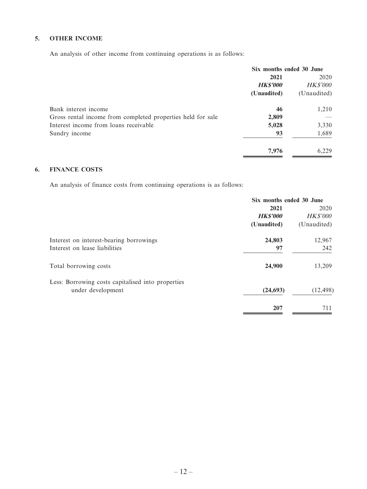#### **5. OTHER INCOME**

An analysis of other income from continuing operations is as follows:

|                                                             | Six months ended 30 June |                 |  |
|-------------------------------------------------------------|--------------------------|-----------------|--|
|                                                             | 2021                     | 2020            |  |
|                                                             | <b>HK\$'000</b>          | <b>HK\$'000</b> |  |
|                                                             | (Unaudited)              | (Unaudited)     |  |
| Bank interest income                                        | 46                       | 1,210           |  |
| Gross rental income from completed properties held for sale | 2,809                    |                 |  |
| Interest income from loans receivable                       | 5,028                    | 3,330           |  |
| Sundry income                                               | 93                       | 1,689           |  |
|                                                             | 7,976                    | 6.229           |  |

#### **6. FINANCE COSTS**

An analysis of finance costs from continuing operations is as follows:

|                                                   | Six months ended 30 June |                 |  |
|---------------------------------------------------|--------------------------|-----------------|--|
|                                                   | 2021                     | 2020            |  |
|                                                   | <b>HK\$'000</b>          | <b>HK\$'000</b> |  |
|                                                   | (Unaudited)              | (Unaudited)     |  |
| Interest on interest-bearing borrowings           | 24,803                   | 12,967          |  |
| Interest on lease liabilities                     | 97                       | 242             |  |
| Total borrowing costs                             | 24,900                   | 13,209          |  |
| Less: Borrowing costs capitalised into properties |                          |                 |  |
| under development                                 | (24, 693)                | (12, 498)       |  |
|                                                   | 207                      | 711             |  |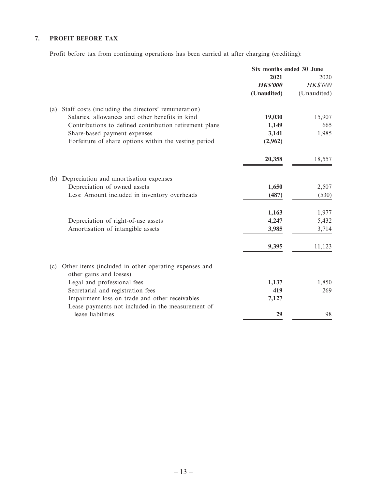### **7. PROFIT BEFORE TAX**

Profit before tax from continuing operations has been carried at after charging (crediting):

|     |                                                                                                     | Six months ended 30 June |                 |
|-----|-----------------------------------------------------------------------------------------------------|--------------------------|-----------------|
|     |                                                                                                     | 2021                     | 2020            |
|     |                                                                                                     | <b>HKS'000</b>           | <b>HK\$'000</b> |
|     |                                                                                                     | (Unaudited)              | (Unaudited)     |
| (a) | Staff costs (including the directors' remuneration)                                                 |                          |                 |
|     | Salaries, allowances and other benefits in kind                                                     | 19,030                   | 15,907          |
|     | Contributions to defined contribution retirement plans                                              | 1,149                    | 665             |
|     | Share-based payment expenses                                                                        | 3,141                    | 1,985           |
|     | Forfeiture of share options within the vesting period                                               | (2,962)                  |                 |
|     |                                                                                                     | 20,358                   | 18,557          |
| (b) | Depreciation and amortisation expenses                                                              |                          |                 |
|     | Depreciation of owned assets                                                                        | 1,650                    | 2,507           |
|     | Less: Amount included in inventory overheads                                                        | (487)                    | (530)           |
|     |                                                                                                     | 1,163                    | 1,977           |
|     | Depreciation of right-of-use assets                                                                 | 4,247                    | 5,432           |
|     | Amortisation of intangible assets                                                                   | 3,985                    | 3,714           |
|     |                                                                                                     | 9,395                    | 11,123          |
| (c) | Other items (included in other operating expenses and                                               |                          |                 |
|     | other gains and losses)                                                                             |                          |                 |
|     | Legal and professional fees                                                                         | 1,137                    | 1,850           |
|     | Secretarial and registration fees                                                                   | 419                      | 269             |
|     | Impairment loss on trade and other receivables<br>Lease payments not included in the measurement of | 7,127                    |                 |
|     | lease liabilities                                                                                   | 29                       | 98              |
|     |                                                                                                     |                          |                 |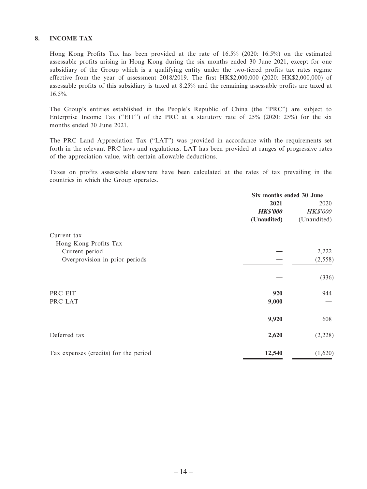#### **8. INCOME TAX**

Hong Kong Profits Tax has been provided at the rate of 16.5% (2020: 16.5%) on the estimated assessable profits arising in Hong Kong during the six months ended 30 June 2021, except for one subsidiary of the Group which is a qualifying entity under the two-tiered profits tax rates regime effective from the year of assessment 2018/2019. The first HK\$2,000,000 (2020: HK\$2,000,000) of assessable profits of this subsidiary is taxed at 8.25% and the remaining assessable profits are taxed at 16.5%.

The Group's entities established in the People's Republic of China (the "PRC") are subject to Enterprise Income Tax ("EIT") of the PRC at a statutory rate of 25% (2020: 25%) for the six months ended 30 June 2021.

The PRC Land Appreciation Tax ("LAT") was provided in accordance with the requirements set forth in the relevant PRC laws and regulations. LAT has been provided at ranges of progressive rates of the appreciation value, with certain allowable deductions.

Taxes on profits assessable elsewhere have been calculated at the rates of tax prevailing in the countries in which the Group operates.

|                                       | Six months ended 30 June |                 |
|---------------------------------------|--------------------------|-----------------|
|                                       | 2021                     | 2020            |
|                                       | <b>HK\$'000</b>          | <b>HK\$'000</b> |
|                                       | (Unaudited)              | (Unaudited)     |
| Current tax                           |                          |                 |
| Hong Kong Profits Tax                 |                          |                 |
| Current period                        |                          | 2,222           |
| Overprovision in prior periods        |                          | (2, 558)        |
|                                       |                          | (336)           |
| PRC EIT                               | 920                      | 944             |
| PRC LAT                               | 9,000                    |                 |
|                                       | 9,920                    | 608             |
| Deferred tax                          | 2,620                    | (2,228)         |
| Tax expenses (credits) for the period | 12,540                   | (1,620)         |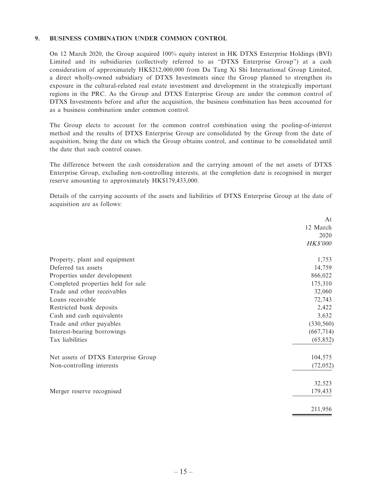#### **9. BUSINESS COMBINATION UNDER COMMON CONTROL**

On 12 March 2020, the Group acquired 100% equity interest in HK DTXS Enterprise Holdings (BVI) Limited and its subsidiaries (collectively referred to as "DTXS Enterprise Group") at a cash consideration of approximately HK\$212,000,000 from Da Tang Xi Shi International Group Limited, a direct wholly-owned subsidiary of DTXS Investments since the Group planned to strengthen its exposure in the cultural-related real estate investment and development in the strategically important regions in the PRC. As the Group and DTXS Enterprise Group are under the common control of DTXS Investments before and after the acquisition, the business combination has been accounted for as a business combination under common control.

The Group elects to account for the common control combination using the pooling-of-interest method and the results of DTXS Enterprise Group are consolidated by the Group from the date of acquisition, being the date on which the Group obtains control, and continue to be consolidated until the date that such control ceases.

The difference between the cash consideration and the carrying amount of the net assets of DTXS Enterprise Group, excluding non-controlling interests, at the completion date is recognised in merger reserve amounting to approximately HK\$179,433,000.

Details of the carrying accounts of the assets and liabilities of DTXS Enterprise Group at the date of acquisition are as follows:

|                                     | At              |
|-------------------------------------|-----------------|
|                                     | 12 March        |
|                                     | 2020            |
|                                     | <b>HK\$'000</b> |
| Property, plant and equipment       | 1,753           |
| Deferred tax assets                 | 14,759          |
| Properties under development        | 866,022         |
| Completed properties held for sale  | 175,310         |
| Trade and other receivables         | 32,060          |
| Loans receivable                    | 72,743          |
| Restricted bank deposits            | 2,422           |
| Cash and cash equivalents           | 3,632           |
| Trade and other payables            | (330, 560)      |
| Interest-bearing borrowings         | (667, 714)      |
| Tax liabilities                     | (65, 852)       |
| Net assets of DTXS Enterprise Group | 104,575         |
| Non-controlling interests           | (72, 052)       |
|                                     | 32,523          |
| Merger reserve recognised           | 179,433         |
|                                     | 211,956         |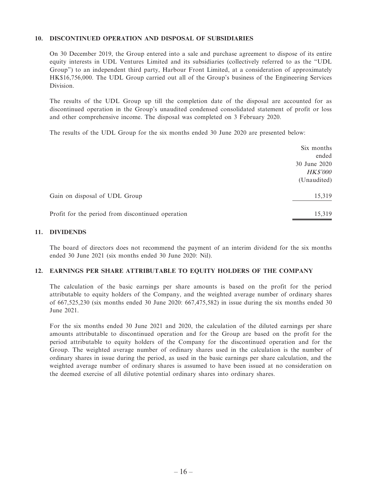#### **10. DISCONTINUED OPERATION AND DISPOSAL OF SUBSIDIARIES**

On 30 December 2019, the Group entered into a sale and purchase agreement to dispose of its entire equity interests in UDL Ventures Limited and its subsidiaries (collectively referred to as the "UDL Group") to an independent third party, Harbour Front Limited, at a consideration of approximately HK\$16,756,000. The UDL Group carried out all of the Group's business of the Engineering Services Division.

The results of the UDL Group up till the completion date of the disposal are accounted for as discontinued operation in the Group's unaudited condensed consolidated statement of profit or loss and other comprehensive income. The disposal was completed on 3 February 2020.

The results of the UDL Group for the six months ended 30 June 2020 are presented below:

|                                                   | Six months      |
|---------------------------------------------------|-----------------|
|                                                   | ended           |
|                                                   | 30 June 2020    |
|                                                   | <b>HK\$'000</b> |
|                                                   | (Unaudited)     |
| Gain on disposal of UDL Group                     | 15,319          |
| Profit for the period from discontinued operation | 15,319          |

#### **11. DIVIDENDS**

The board of directors does not recommend the payment of an interim dividend for the six months ended 30 June 2021 (six months ended 30 June 2020: Nil).

#### **12. EARNINGS PER SHARE ATTRIBUTABLE TO EQUITY HOLDERS OF THE COMPANY**

The calculation of the basic earnings per share amounts is based on the profit for the period attributable to equity holders of the Company, and the weighted average number of ordinary shares of 667,525,230 (six months ended 30 June 2020: 667,475,582) in issue during the six months ended 30 June 2021.

For the six months ended 30 June 2021 and 2020, the calculation of the diluted earnings per share amounts attributable to discontinued operation and for the Group are based on the profit for the period attributable to equity holders of the Company for the discontinued operation and for the Group. The weighted average number of ordinary shares used in the calculation is the number of ordinary shares in issue during the period, as used in the basic earnings per share calculation, and the weighted average number of ordinary shares is assumed to have been issued at no consideration on the deemed exercise of all dilutive potential ordinary shares into ordinary shares.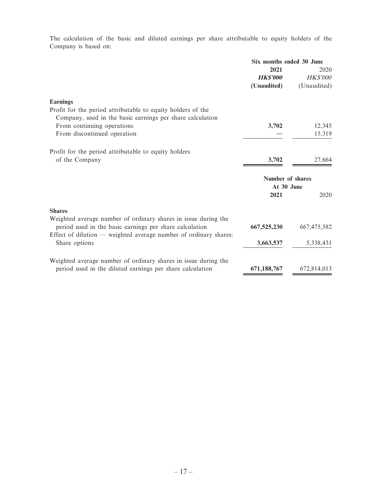The calculation of the basic and diluted earnings per share attributable to equity holders of the Company is based on:

|                                                                                                                               | Six months ended 30 June |                 |
|-------------------------------------------------------------------------------------------------------------------------------|--------------------------|-----------------|
|                                                                                                                               | 2021                     | 2020            |
|                                                                                                                               | <b>HKS'000</b>           | <b>HK\$'000</b> |
|                                                                                                                               | (Unaudited)              | (Unaudited)     |
| <b>Earnings</b>                                                                                                               |                          |                 |
| Profit for the period attributable to equity holders of the                                                                   |                          |                 |
| Company, used in the basic earnings per share calculation                                                                     |                          |                 |
| From continuing operations                                                                                                    | 3,702                    | 12,345          |
| From discontinued operation                                                                                                   |                          | 15,319          |
| Profit for the period attributable to equity holders                                                                          |                          |                 |
| of the Company                                                                                                                | 3,702                    | 27,664          |
|                                                                                                                               | Number of shares         |                 |
|                                                                                                                               | At 30 June               |                 |
|                                                                                                                               | 2021                     | 2020            |
| <b>Shares</b>                                                                                                                 |                          |                 |
| Weighted average number of ordinary shares in issue during the                                                                |                          |                 |
| period used in the basic earnings per share calculation<br>Effect of dilution $-$ weighted average number of ordinary shares: | 667,525,230              | 667, 475, 582   |
| Share options                                                                                                                 | 3,663,537                | 5,338,431       |
|                                                                                                                               |                          |                 |
| Weighted average number of ordinary shares in issue during the                                                                |                          |                 |
| period used in the diluted earnings per share calculation                                                                     | 671,188,767              | 672,814,013     |
|                                                                                                                               |                          |                 |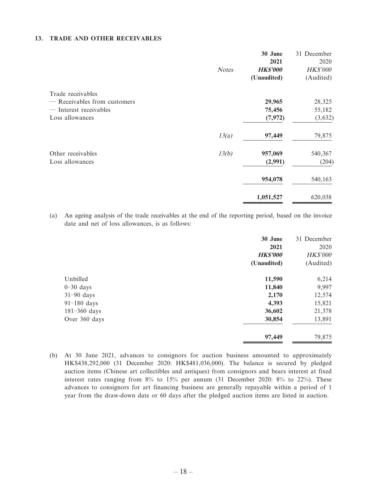#### **13. TRADE AND OTHER RECEIVABLES**

|                              | <b>Notes</b> | 30 June<br>2021<br><b>HK\$'000</b><br>(Unaudited) | 31 December<br>2020<br><b>HK\$'000</b><br>(Audited) |
|------------------------------|--------------|---------------------------------------------------|-----------------------------------------------------|
| Trade receivables            |              |                                                   |                                                     |
| - Receivables from customers |              | 29,965                                            | 28,325                                              |
| — Interest receivables       |              | 75,456                                            | 55,182                                              |
| Loss allowances              |              | (7, 972)                                          | (3,632)                                             |
|                              | 13(a)        | 97,449                                            | 79,875                                              |
| Other receivables            | 13(b)        | 957,069                                           | 540,367                                             |
| Loss allowances              |              | (2,991)                                           | (204)                                               |
|                              |              | 954,078                                           | 540,163                                             |
|                              |              | 1,051,527                                         | 620,038                                             |

(a) An ageing analysis of the trade receivables at the end of the reporting period, based on the invoice date and net of loss allowances, is as follows:

|                  | 30 June         | 31 December     |
|------------------|-----------------|-----------------|
|                  | 2021            | 2020            |
|                  | <b>HK\$'000</b> | <b>HK\$'000</b> |
|                  | (Unaudited)     | (Audited)       |
| Unbilled         | 11,590          | 6,214           |
| $0-30$ days      | 11,840          | 9,997           |
| $31-90$ days     | 2,170           | 12,574          |
| $91-180$ days    | 4,393           | 15,821          |
| $181 - 360$ days | 36,602          | 21,378          |
| Over 360 days    | 30,854          | 13,891          |
|                  | 97,449          | 79,875          |

(b) At 30 June 2021, advances to consignors for auction business amounted to approximately HK\$438,292,000 (31 December 2020: HK\$481,036,000). The balance is secured by pledged auction items (Chinese art collectibles and antiques) from consignors and bears interest at fixed interest rates ranging from 8% to 15% per annum (31 December 2020: 8% to 22%). These advances to consignors for art financing business are generally repayable within a period of 1 year from the draw-down date or 60 days after the pledged auction items are listed in auction.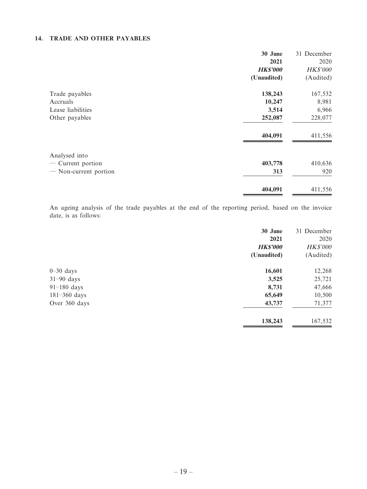#### **14. TRADE AND OTHER PAYABLES**

|                                                | 30 June         | 31 December |
|------------------------------------------------|-----------------|-------------|
|                                                | 2021            | 2020        |
|                                                | <b>HK\$'000</b> | HK\$'000    |
|                                                | (Unaudited)     | (Audited)   |
| Trade payables                                 | 138,243         | 167,532     |
| Accruals                                       | 10,247          | 8,981       |
| Lease liabilities                              | 3,514           | 6,966       |
| Other payables                                 | 252,087         | 228,077     |
|                                                | 404,091         | 411,556     |
| Analysed into                                  |                 |             |
| Current portion<br>$\overbrace{\hspace{15em}}$ | 403,778         | 410,636     |
| - Non-current portion                          | 313             | 920         |
|                                                | 404,091         | 411,556     |

An ageing analysis of the trade payables at the end of the reporting period, based on the invoice date, is as follows:

|                  | 30 June         | 31 December     |
|------------------|-----------------|-----------------|
|                  | 2021            | 2020            |
|                  | <b>HK\$'000</b> | <b>HK\$'000</b> |
|                  | (Unaudited)     | (Audited)       |
| $0-30$ days      | 16,601          | 12,268          |
| $31-90$ days     | 3,525           | 25,721          |
| $91-180$ days    | 8,731           | 47,666          |
| $181 - 360$ days | 65,649          | 10,500          |
| Over 360 days    | 43,737          | 71,377          |
|                  | 138,243         | 167,532         |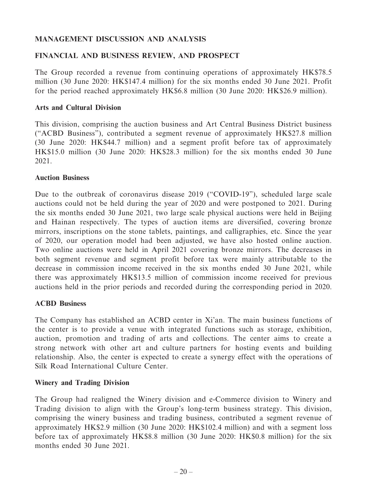# **MANAGEMENT DISCUSSION AND ANALYSIS**

# **FINANCIAL AND BUSINESS REVIEW, AND PROSPECT**

The Group recorded a revenue from continuing operations of approximately HK\$78.5 million (30 June 2020: HK\$147.4 million) for the six months ended 30 June 2021. Profit for the period reached approximately HK\$6.8 million (30 June 2020: HK\$26.9 million).

#### **Arts and Cultural Division**

This division, comprising the auction business and Art Central Business District business ("ACBD Business"), contributed a segment revenue of approximately HK\$27.8 million (30 June 2020: HK\$44.7 million) and a segment profit before tax of approximately HK\$15.0 million (30 June 2020: HK\$28.3 million) for the six months ended 30 June 2021.

#### **Auction Business**

Due to the outbreak of coronavirus disease 2019 ("COVID-19"), scheduled large scale auctions could not be held during the year of 2020 and were postponed to 2021. During the six months ended 30 June 2021, two large scale physical auctions were held in Beijing and Hainan respectively. The types of auction items are diversified, covering bronze mirrors, inscriptions on the stone tablets, paintings, and calligraphies, etc. Since the year of 2020, our operation model had been adjusted, we have also hosted online auction. Two online auctions were held in April 2021 covering bronze mirrors. The decreases in both segment revenue and segment profit before tax were mainly attributable to the decrease in commission income received in the six months ended 30 June 2021, while there was approximately HK\$13.5 million of commission income received for previous auctions held in the prior periods and recorded during the corresponding period in 2020.

### **ACBD Business**

The Company has established an ACBD center in Xi'an. The main business functions of the center is to provide a venue with integrated functions such as storage, exhibition, auction, promotion and trading of arts and collections. The center aims to create a strong network with other art and culture partners for hosting events and building relationship. Also, the center is expected to create a synergy effect with the operations of Silk Road International Culture Center.

### **Winery and Trading Division**

The Group had realigned the Winery division and e-Commerce division to Winery and Trading division to align with the Group's long-term business strategy. This division, comprising the winery business and trading business, contributed a segment revenue of approximately HK\$2.9 million (30 June 2020: HK\$102.4 million) and with a segment loss before tax of approximately HK\$8.8 million (30 June 2020: HK\$0.8 million) for the six months ended 30 June 2021.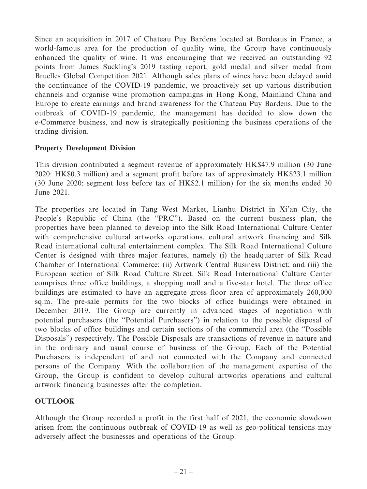Since an acquisition in 2017 of Chateau Puy Bardens located at Bordeaus in France, a world-famous area for the production of quality wine, the Group have continuously enhanced the quality of wine. It was encouraging that we received an outstanding 92 points from James Suckling's 2019 tasting report, gold medal and silver medal from Bruelles Global Competition 2021. Although sales plans of wines have been delayed amid the continuance of the COVID-19 pandemic, we proactively set up various distribution channels and organise wine promotion campaigns in Hong Kong, Mainland China and Europe to create earnings and brand awareness for the Chateau Puy Bardens. Due to the outbreak of COVID-19 pandemic, the management has decided to slow down the e-Commerce business, and now is strategically positioning the business operations of the trading division.

### **Property Development Division**

This division contributed a segment revenue of approximately HK\$47.9 million (30 June 2020: HK\$0.3 million) and a segment profit before tax of approximately HK\$23.1 million (30 June 2020: segment loss before tax of HK\$2.1 million) for the six months ended 30 June 2021.

The properties are located in Tang West Market, Lianhu District in Xi'an City, the People's Republic of China (the "PRC"). Based on the current business plan, the properties have been planned to develop into the Silk Road International Culture Center with comprehensive cultural artworks operations, cultural artwork financing and Silk Road international cultural entertainment complex. The Silk Road International Culture Center is designed with three major features, namely (i) the headquarter of Silk Road Chamber of International Commerce; (ii) Artwork Central Business District; and (iii) the European section of Silk Road Culture Street. Silk Road International Culture Center comprises three office buildings, a shopping mall and a five-star hotel. The three office buildings are estimated to have an aggregate gross floor area of approximately 260,000 sq.m. The pre-sale permits for the two blocks of office buildings were obtained in December 2019. The Group are currently in advanced stages of negotiation with potential purchasers (the "Potential Purchasers") in relation to the possible disposal of two blocks of office buildings and certain sections of the commercial area (the "Possible Disposals") respectively. The Possible Disposals are transactions of revenue in nature and in the ordinary and usual course of business of the Group. Each of the Potential Purchasers is independent of and not connected with the Company and connected persons of the Company. With the collaboration of the management expertise of the Group, the Group is confident to develop cultural artworks operations and cultural artwork financing businesses after the completion.

### **OUTLOOK**

Although the Group recorded a profit in the first half of 2021, the economic slowdown arisen from the continuous outbreak of COVID-19 as well as geo-political tensions may adversely affect the businesses and operations of the Group.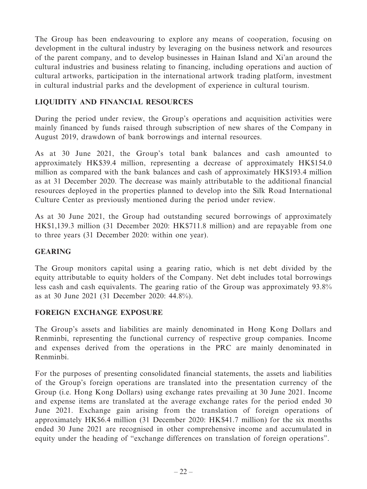The Group has been endeavouring to explore any means of cooperation, focusing on development in the cultural industry by leveraging on the business network and resources of the parent company, and to develop businesses in Hainan Island and Xi'an around the cultural industries and business relating to financing, including operations and auction of cultural artworks, participation in the international artwork trading platform, investment in cultural industrial parks and the development of experience in cultural tourism.

# **LIQUIDITY AND FINANCIAL RESOURCES**

During the period under review, the Group's operations and acquisition activities were mainly financed by funds raised through subscription of new shares of the Company in August 2019, drawdown of bank borrowings and internal resources.

As at 30 June 2021, the Group's total bank balances and cash amounted to approximately HK\$39.4 million, representing a decrease of approximately HK\$154.0 million as compared with the bank balances and cash of approximately HK\$193.4 million as at 31 December 2020. The decrease was mainly attributable to the additional financial resources deployed in the properties planned to develop into the Silk Road International Culture Center as previously mentioned during the period under review.

As at 30 June 2021, the Group had outstanding secured borrowings of approximately HK\$1,139.3 million (31 December 2020: HK\$711.8 million) and are repayable from one to three years (31 December 2020: within one year).

# **GEARING**

The Group monitors capital using a gearing ratio, which is net debt divided by the equity attributable to equity holders of the Company. Net debt includes total borrowings less cash and cash equivalents. The gearing ratio of the Group was approximately 93.8% as at 30 June 2021 (31 December 2020: 44.8%).

### **FOREIGN EXCHANGE EXPOSURE**

The Group's assets and liabilities are mainly denominated in Hong Kong Dollars and Renminbi, representing the functional currency of respective group companies. Income and expenses derived from the operations in the PRC are mainly denominated in Renminbi.

For the purposes of presenting consolidated financial statements, the assets and liabilities of the Group's foreign operations are translated into the presentation currency of the Group (i.e. Hong Kong Dollars) using exchange rates prevailing at 30 June 2021. Income and expense items are translated at the average exchange rates for the period ended 30 June 2021. Exchange gain arising from the translation of foreign operations of approximately HK\$6.4 million (31 December 2020: HK\$41.7 million) for the six months ended 30 June 2021 are recognised in other comprehensive income and accumulated in equity under the heading of "exchange differences on translation of foreign operations".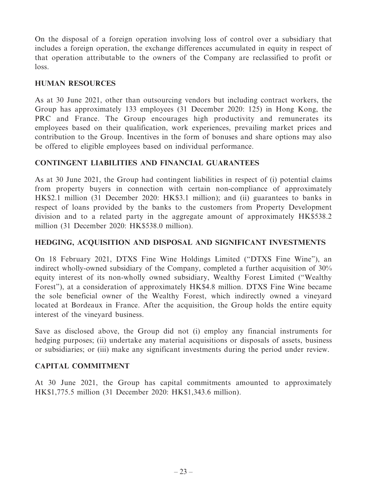On the disposal of a foreign operation involving loss of control over a subsidiary that includes a foreign operation, the exchange differences accumulated in equity in respect of that operation attributable to the owners of the Company are reclassified to profit or loss.

### **HUMAN RESOURCES**

As at 30 June 2021, other than outsourcing vendors but including contract workers, the Group has approximately 133 employees (31 December 2020: 125) in Hong Kong, the PRC and France. The Group encourages high productivity and remunerates its employees based on their qualification, work experiences, prevailing market prices and contribution to the Group. Incentives in the form of bonuses and share options may also be offered to eligible employees based on individual performance.

# **CONTINGENT LIABILITIES AND FINANCIAL GUARANTEES**

As at 30 June 2021, the Group had contingent liabilities in respect of (i) potential claims from property buyers in connection with certain non-compliance of approximately HK\$2.1 million (31 December 2020: HK\$3.1 million); and (ii) guarantees to banks in respect of loans provided by the banks to the customers from Property Development division and to a related party in the aggregate amount of approximately HK\$538.2 million (31 December 2020: HK\$538.0 million).

# **HEDGING, ACQUISITION AND DISPOSAL AND SIGNIFICANT INVESTMENTS**

On 18 February 2021, DTXS Fine Wine Holdings Limited ("DTXS Fine Wine"), an indirect wholly-owned subsidiary of the Company, completed a further acquisition of 30% equity interest of its non-wholly owned subsidiary, Wealthy Forest Limited ("Wealthy Forest"), at a consideration of approximately HK\$4.8 million. DTXS Fine Wine became the sole beneficial owner of the Wealthy Forest, which indirectly owned a vineyard located at Bordeaux in France. After the acquisition, the Group holds the entire equity interest of the vineyard business.

Save as disclosed above, the Group did not (i) employ any financial instruments for hedging purposes; (ii) undertake any material acquisitions or disposals of assets, business or subsidiaries; or (iii) make any significant investments during the period under review.

### **CAPITAL COMMITMENT**

At 30 June 2021, the Group has capital commitments amounted to approximately HK\$1,775.5 million (31 December 2020: HK\$1,343.6 million).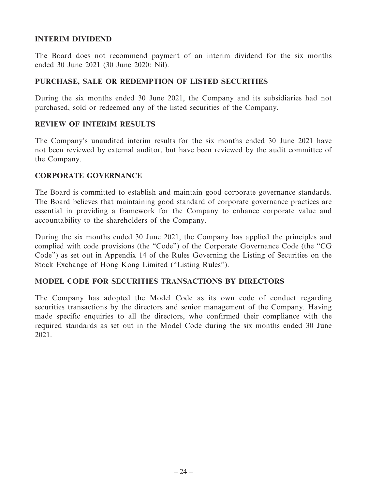# **INTERIM DIVIDEND**

The Board does not recommend payment of an interim dividend for the six months ended 30 June 2021 (30 June 2020: Nil).

### **PURCHASE, SALE OR REDEMPTION OF LISTED SECURITIES**

During the six months ended 30 June 2021, the Company and its subsidiaries had not purchased, sold or redeemed any of the listed securities of the Company.

## **REVIEW OF INTERIM RESULTS**

The Company's unaudited interim results for the six months ended 30 June 2021 have not been reviewed by external auditor, but have been reviewed by the audit committee of the Company.

### **CORPORATE GOVERNANCE**

The Board is committed to establish and maintain good corporate governance standards. The Board believes that maintaining good standard of corporate governance practices are essential in providing a framework for the Company to enhance corporate value and accountability to the shareholders of the Company.

During the six months ended 30 June 2021, the Company has applied the principles and complied with code provisions (the "Code") of the Corporate Governance Code (the "CG Code") as set out in Appendix 14 of the Rules Governing the Listing of Securities on the Stock Exchange of Hong Kong Limited ("Listing Rules").

### **MODEL CODE FOR SECURITIES TRANSACTIONS BY DIRECTORS**

The Company has adopted the Model Code as its own code of conduct regarding securities transactions by the directors and senior management of the Company. Having made specific enquiries to all the directors, who confirmed their compliance with the required standards as set out in the Model Code during the six months ended 30 June 2021.